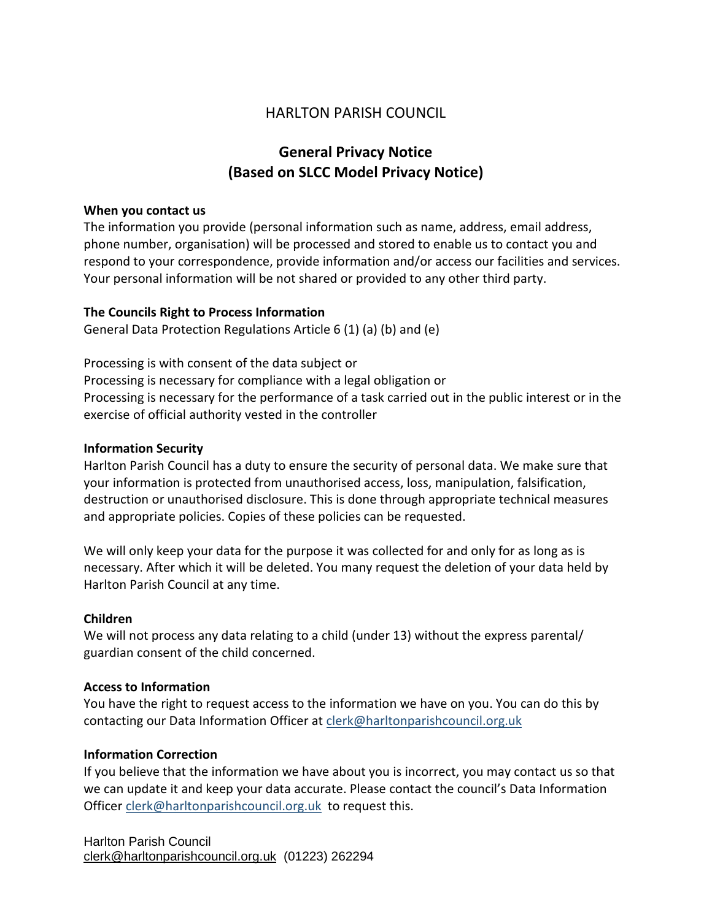# HARLTON PARISH COUNCIL

# **General Privacy Notice (Based on SLCC Model Privacy Notice)**

#### **When you contact us**

The information you provide (personal information such as name, address, email address, phone number, organisation) will be processed and stored to enable us to contact you and respond to your correspondence, provide information and/or access our facilities and services. Your personal information will be not shared or provided to any other third party.

#### **The Councils Right to Process Information**

General Data Protection Regulations Article 6 (1) (a) (b) and (e)

Processing is with consent of the data subject or Processing is necessary for compliance with a legal obligation or Processing is necessary for the performance of a task carried out in the public interest or in the exercise of official authority vested in the controller

# **Information Security**

Harlton Parish Council has a duty to ensure the security of personal data. We make sure that your information is protected from unauthorised access, loss, manipulation, falsification, destruction or unauthorised disclosure. This is done through appropriate technical measures and appropriate policies. Copies of these policies can be requested.

We will only keep your data for the purpose it was collected for and only for as long as is necessary. After which it will be deleted. You many request the deletion of your data held by Harlton Parish Council at any time.

#### **Children**

We will not process any data relating to a child (under 13) without the express parental/ guardian consent of the child concerned.

#### **Access to Information**

You have the right to request access to the information we have on you. You can do this by contacting our Data Information Officer at [clerk@harltonparishcouncil.org.uk](mailto:clerk@harltonparishcouncil.org.uk)

#### **Information Correction**

If you believe that the information we have about you is incorrect, you may contact us so that we can update it and keep your data accurate. Please contact the council's Data Information Officer [clerk@harltonparishcouncil.org.uk](mailto:clerk@harltonparishcouncil.org.uk) to request this.

Harlton Parish Council [clerk@harltonparishcouncil.org.uk](mailto:clerk@harltonparishcouncil.org.uk) (01223) 262294